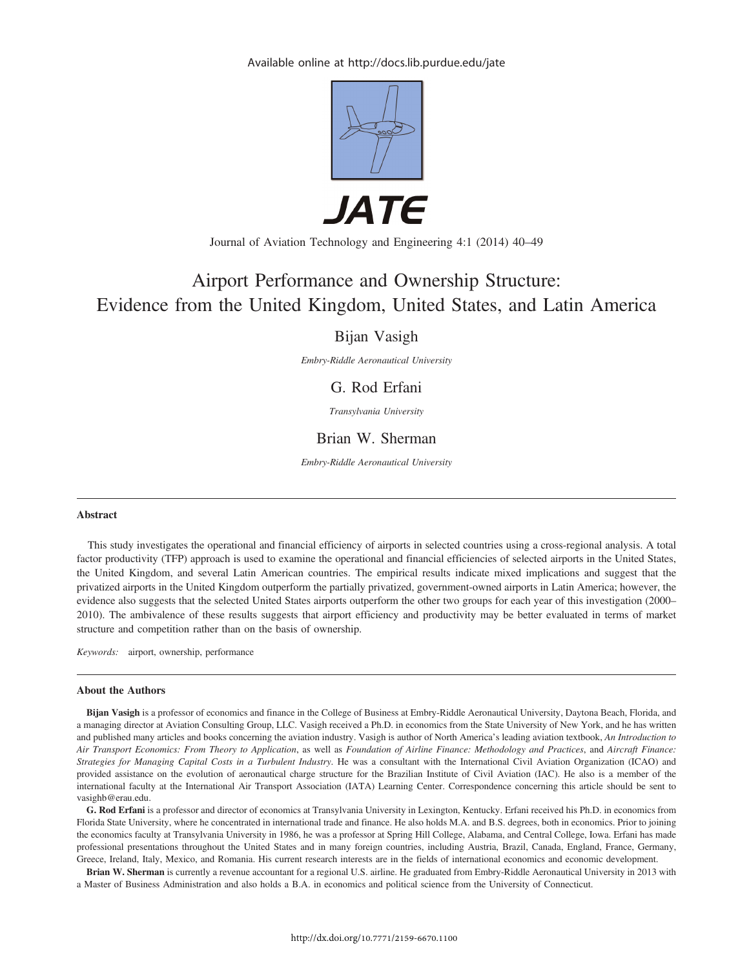Available online at http://docs.lib.purdue.edu/jate



*JATE* 

Journal of Aviation Technology and Engineering 4:1 (2014) 40–49

# Airport Performance and Ownership Structure: Evidence from the United Kingdom, United States, and Latin America

## Bijan Vasigh

Embry-Riddle Aeronautical University

## G. Rod Erfani

Transylvania University

## Brian W. Sherman

Embry-Riddle Aeronautical University

#### Abstract

This study investigates the operational and financial efficiency of airports in selected countries using a cross-regional analysis. A total factor productivity (TFP) approach is used to examine the operational and financial efficiencies of selected airports in the United States, the United Kingdom, and several Latin American countries. The empirical results indicate mixed implications and suggest that the privatized airports in the United Kingdom outperform the partially privatized, government-owned airports in Latin America; however, the evidence also suggests that the selected United States airports outperform the other two groups for each year of this investigation (2000– 2010). The ambivalence of these results suggests that airport efficiency and productivity may be better evaluated in terms of market structure and competition rather than on the basis of ownership.

Keywords: airport, ownership, performance

#### About the Authors

Bijan Vasigh is a professor of economics and finance in the College of Business at Embry-Riddle Aeronautical University, Daytona Beach, Florida, and a managing director at Aviation Consulting Group, LLC. Vasigh received a Ph.D. in economics from the State University of New York, and he has written and published many articles and books concerning the aviation industry. Vasigh is author of North America's leading aviation textbook, An Introduction to Air Transport Economics: From Theory to Application, as well as Foundation of Airline Finance: Methodology and Practices, and Aircraft Finance: Strategies for Managing Capital Costs in a Turbulent Industry. He was a consultant with the International Civil Aviation Organization (ICAO) and provided assistance on the evolution of aeronautical charge structure for the Brazilian Institute of Civil Aviation (IAC). He also is a member of the international faculty at the International Air Transport Association (IATA) Learning Center. Correspondence concerning this article should be sent to vasighb@erau.edu.

G. Rod Erfani is a professor and director of economics at Transylvania University in Lexington, Kentucky. Erfani received his Ph.D. in economics from Florida State University, where he concentrated in international trade and finance. He also holds M.A. and B.S. degrees, both in economics. Prior to joining the economics faculty at Transylvania University in 1986, he was a professor at Spring Hill College, Alabama, and Central College, Iowa. Erfani has made professional presentations throughout the United States and in many foreign countries, including Austria, Brazil, Canada, England, France, Germany, Greece, Ireland, Italy, Mexico, and Romania. His current research interests are in the fields of international economics and economic development.

Brian W. Sherman is currently a revenue accountant for a regional U.S. airline. He graduated from Embry-Riddle Aeronautical University in 2013 with a Master of Business Administration and also holds a B.A. in economics and political science from the University of Connecticut.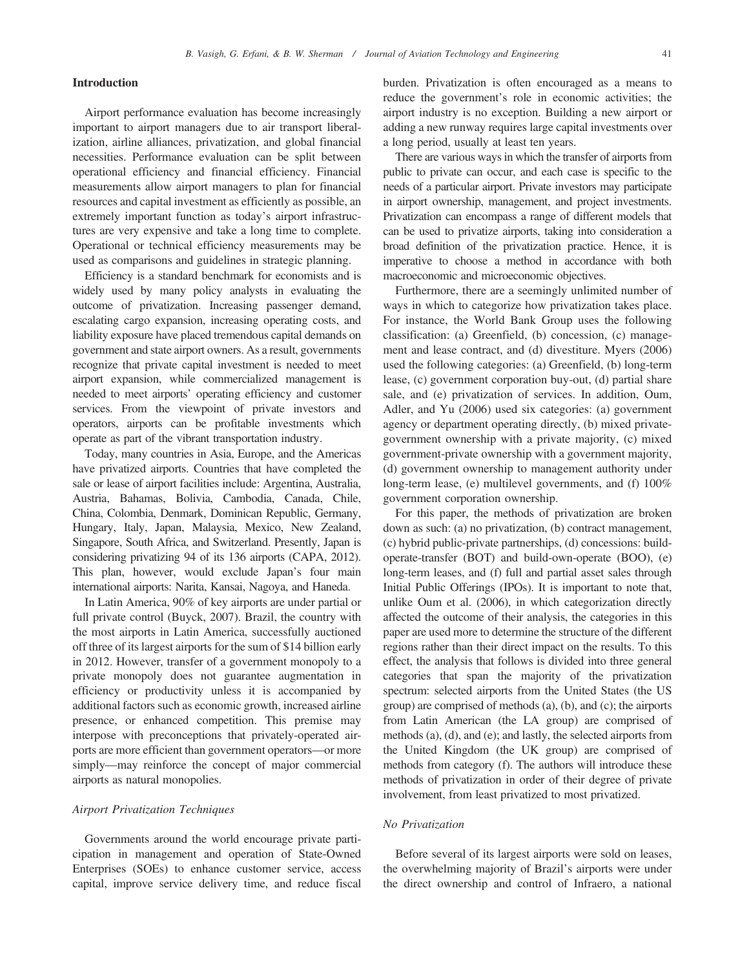#### Introduction

Airport performance evaluation has become increasingly important to airport managers due to air transport liberalization, airline alliances, privatization, and global financial necessities. Performance evaluation can be split between operational efficiency and financial efficiency. Financial measurements allow airport managers to plan for financial resources and capital investment as efficiently as possible, an extremely important function as today's airport infrastructures are very expensive and take a long time to complete. Operational or technical efficiency measurements may be used as comparisons and guidelines in strategic planning.

Efficiency is a standard benchmark for economists and is widely used by many policy analysts in evaluating the outcome of privatization. Increasing passenger demand, escalating cargo expansion, increasing operating costs, and liability exposure have placed tremendous capital demands on government and state airport owners. As a result, governments recognize that private capital investment is needed to meet airport expansion, while commercialized management is needed to meet airports' operating efficiency and customer services. From the viewpoint of private investors and operators, airports can be profitable investments which operate as part of the vibrant transportation industry.

Today, many countries in Asia, Europe, and the Americas have privatized airports. Countries that have completed the sale or lease of airport facilities include: Argentina, Australia, Austria, Bahamas, Bolivia, Cambodia, Canada, Chile, China, Colombia, Denmark, Dominican Republic, Germany, Hungary, Italy, Japan, Malaysia, Mexico, New Zealand, Singapore, South Africa, and Switzerland. Presently, Japan is considering privatizing 94 of its 136 airports (CAPA, 2012). This plan, however, would exclude Japan's four main international airports: Narita, Kansai, Nagoya, and Haneda.

In Latin America, 90% of key airports are under partial or full private control (Buyck, 2007). Brazil, the country with the most airports in Latin America, successfully auctioned off three of its largest airports for the sum of \$14 billion early in 2012. However, transfer of a government monopoly to a private monopoly does not guarantee augmentation in efficiency or productivity unless it is accompanied by additional factors such as economic growth, increased airline presence, or enhanced competition. This premise may interpose with preconceptions that privately-operated airports are more efficient than government operators—or more simply—may reinforce the concept of major commercial airports as natural monopolies.

#### Airport Privatization Techniques

Governments around the world encourage private participation in management and operation of State-Owned Enterprises (SOEs) to enhance customer service, access capital, improve service delivery time, and reduce fiscal burden. Privatization is often encouraged as a means to reduce the government's role in economic activities; the airport industry is no exception. Building a new airport or adding a new runway requires large capital investments over a long period, usually at least ten years.

There are various ways in which the transfer of airports from public to private can occur, and each case is specific to the needs of a particular airport. Private investors may participate in airport ownership, management, and project investments. Privatization can encompass a range of different models that can be used to privatize airports, taking into consideration a broad definition of the privatization practice. Hence, it is imperative to choose a method in accordance with both macroeconomic and microeconomic objectives.

Furthermore, there are a seemingly unlimited number of ways in which to categorize how privatization takes place. For instance, the World Bank Group uses the following classification: (a) Greenfield, (b) concession, (c) management and lease contract, and (d) divestiture. Myers (2006) used the following categories: (a) Greenfield, (b) long-term lease, (c) government corporation buy-out, (d) partial share sale, and (e) privatization of services. In addition, Oum, Adler, and Yu (2006) used six categories: (a) government agency or department operating directly, (b) mixed privategovernment ownership with a private majority, (c) mixed government-private ownership with a government majority, (d) government ownership to management authority under long-term lease, (e) multilevel governments, and (f) 100% government corporation ownership.

For this paper, the methods of privatization are broken down as such: (a) no privatization, (b) contract management, (c) hybrid public-private partnerships, (d) concessions: buildoperate-transfer (BOT) and build-own-operate (BOO), (e) long-term leases, and (f) full and partial asset sales through Initial Public Offerings (IPOs). It is important to note that, unlike Oum et al. (2006), in which categorization directly affected the outcome of their analysis, the categories in this paper are used more to determine the structure of the different regions rather than their direct impact on the results. To this effect, the analysis that follows is divided into three general categories that span the majority of the privatization spectrum: selected airports from the United States (the US group) are comprised of methods (a), (b), and (c); the airports from Latin American (the LA group) are comprised of methods (a), (d), and (e); and lastly, the selected airports from the United Kingdom (the UK group) are comprised of methods from category (f). The authors will introduce these methods of privatization in order of their degree of private involvement, from least privatized to most privatized.

#### No Privatization

Before several of its largest airports were sold on leases, the overwhelming majority of Brazil's airports were under the direct ownership and control of Infraero, a national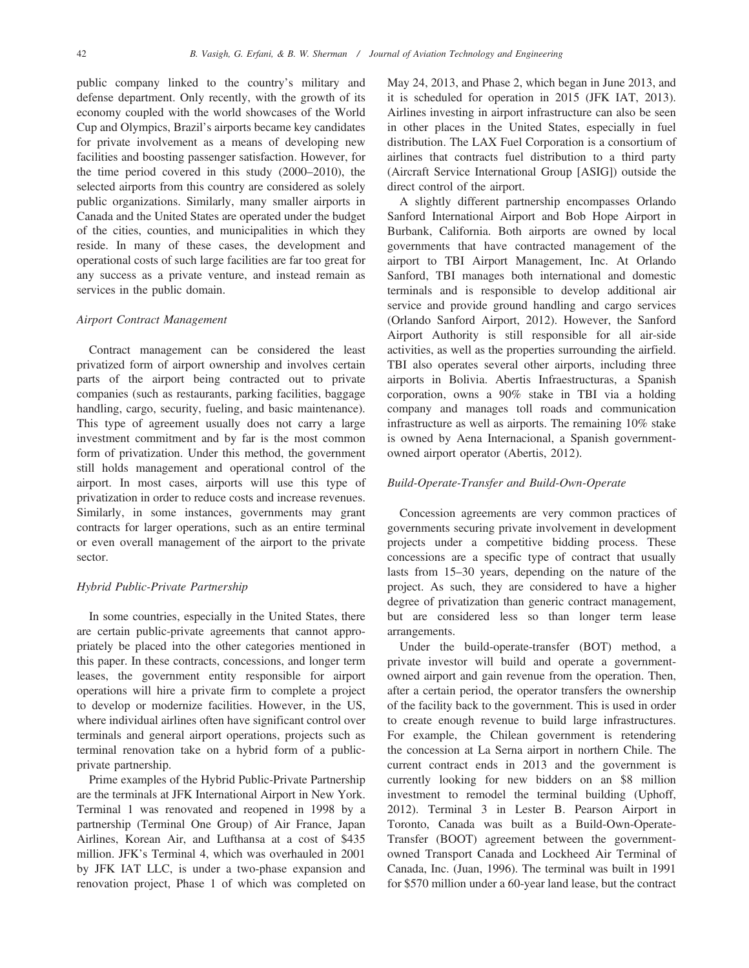public company linked to the country's military and defense department. Only recently, with the growth of its economy coupled with the world showcases of the World Cup and Olympics, Brazil's airports became key candidates for private involvement as a means of developing new facilities and boosting passenger satisfaction. However, for the time period covered in this study (2000–2010), the selected airports from this country are considered as solely public organizations. Similarly, many smaller airports in Canada and the United States are operated under the budget of the cities, counties, and municipalities in which they reside. In many of these cases, the development and operational costs of such large facilities are far too great for any success as a private venture, and instead remain as services in the public domain.

#### Airport Contract Management

Contract management can be considered the least privatized form of airport ownership and involves certain parts of the airport being contracted out to private companies (such as restaurants, parking facilities, baggage handling, cargo, security, fueling, and basic maintenance). This type of agreement usually does not carry a large investment commitment and by far is the most common form of privatization. Under this method, the government still holds management and operational control of the airport. In most cases, airports will use this type of privatization in order to reduce costs and increase revenues. Similarly, in some instances, governments may grant contracts for larger operations, such as an entire terminal or even overall management of the airport to the private sector.

#### Hybrid Public-Private Partnership

In some countries, especially in the United States, there are certain public-private agreements that cannot appropriately be placed into the other categories mentioned in this paper. In these contracts, concessions, and longer term leases, the government entity responsible for airport operations will hire a private firm to complete a project to develop or modernize facilities. However, in the US, where individual airlines often have significant control over terminals and general airport operations, projects such as terminal renovation take on a hybrid form of a publicprivate partnership.

Prime examples of the Hybrid Public-Private Partnership are the terminals at JFK International Airport in New York. Terminal 1 was renovated and reopened in 1998 by a partnership (Terminal One Group) of Air France, Japan Airlines, Korean Air, and Lufthansa at a cost of \$435 million. JFK's Terminal 4, which was overhauled in 2001 by JFK IAT LLC, is under a two-phase expansion and renovation project, Phase 1 of which was completed on May 24, 2013, and Phase 2, which began in June 2013, and it is scheduled for operation in 2015 (JFK IAT, 2013). Airlines investing in airport infrastructure can also be seen in other places in the United States, especially in fuel distribution. The LAX Fuel Corporation is a consortium of airlines that contracts fuel distribution to a third party (Aircraft Service International Group [ASIG]) outside the direct control of the airport.

A slightly different partnership encompasses Orlando Sanford International Airport and Bob Hope Airport in Burbank, California. Both airports are owned by local governments that have contracted management of the airport to TBI Airport Management, Inc. At Orlando Sanford, TBI manages both international and domestic terminals and is responsible to develop additional air service and provide ground handling and cargo services (Orlando Sanford Airport, 2012). However, the Sanford Airport Authority is still responsible for all air-side activities, as well as the properties surrounding the airfield. TBI also operates several other airports, including three airports in Bolivia. Abertis Infraestructuras, a Spanish corporation, owns a 90% stake in TBI via a holding company and manages toll roads and communication infrastructure as well as airports. The remaining 10% stake is owned by Aena Internacional, a Spanish governmentowned airport operator (Abertis, 2012).

#### Build-Operate-Transfer and Build-Own-Operate

Concession agreements are very common practices of governments securing private involvement in development projects under a competitive bidding process. These concessions are a specific type of contract that usually lasts from 15–30 years, depending on the nature of the project. As such, they are considered to have a higher degree of privatization than generic contract management, but are considered less so than longer term lease arrangements.

Under the build-operate-transfer (BOT) method, a private investor will build and operate a governmentowned airport and gain revenue from the operation. Then, after a certain period, the operator transfers the ownership of the facility back to the government. This is used in order to create enough revenue to build large infrastructures. For example, the Chilean government is retendering the concession at La Serna airport in northern Chile. The current contract ends in 2013 and the government is currently looking for new bidders on an \$8 million investment to remodel the terminal building (Uphoff, 2012). Terminal 3 in Lester B. Pearson Airport in Toronto, Canada was built as a Build-Own-Operate-Transfer (BOOT) agreement between the governmentowned Transport Canada and Lockheed Air Terminal of Canada, Inc. (Juan, 1996). The terminal was built in 1991 for \$570 million under a 60-year land lease, but the contract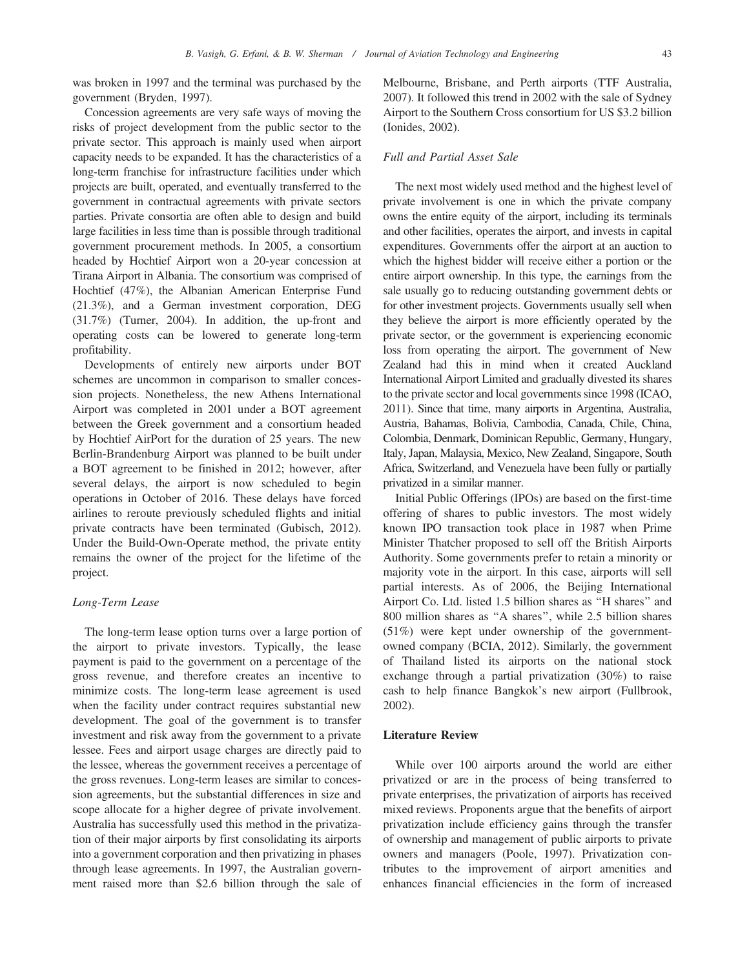was broken in 1997 and the terminal was purchased by the government (Bryden, 1997).

Concession agreements are very safe ways of moving the risks of project development from the public sector to the private sector. This approach is mainly used when airport capacity needs to be expanded. It has the characteristics of a long-term franchise for infrastructure facilities under which projects are built, operated, and eventually transferred to the government in contractual agreements with private sectors parties. Private consortia are often able to design and build large facilities in less time than is possible through traditional government procurement methods. In 2005, a consortium headed by Hochtief Airport won a 20-year concession at Tirana Airport in Albania. The consortium was comprised of Hochtief (47%), the Albanian American Enterprise Fund (21.3%), and a German investment corporation, DEG (31.7%) (Turner, 2004). In addition, the up-front and operating costs can be lowered to generate long-term profitability.

Developments of entirely new airports under BOT schemes are uncommon in comparison to smaller concession projects. Nonetheless, the new Athens International Airport was completed in 2001 under a BOT agreement between the Greek government and a consortium headed by Hochtief AirPort for the duration of 25 years. The new Berlin-Brandenburg Airport was planned to be built under a BOT agreement to be finished in 2012; however, after several delays, the airport is now scheduled to begin operations in October of 2016. These delays have forced airlines to reroute previously scheduled flights and initial private contracts have been terminated (Gubisch, 2012). Under the Build-Own-Operate method, the private entity remains the owner of the project for the lifetime of the project.

#### Long-Term Lease

The long-term lease option turns over a large portion of the airport to private investors. Typically, the lease payment is paid to the government on a percentage of the gross revenue, and therefore creates an incentive to minimize costs. The long-term lease agreement is used when the facility under contract requires substantial new development. The goal of the government is to transfer investment and risk away from the government to a private lessee. Fees and airport usage charges are directly paid to the lessee, whereas the government receives a percentage of the gross revenues. Long-term leases are similar to concession agreements, but the substantial differences in size and scope allocate for a higher degree of private involvement. Australia has successfully used this method in the privatization of their major airports by first consolidating its airports into a government corporation and then privatizing in phases through lease agreements. In 1997, the Australian government raised more than \$2.6 billion through the sale of Melbourne, Brisbane, and Perth airports (TTF Australia, 2007). It followed this trend in 2002 with the sale of Sydney Airport to the Southern Cross consortium for US \$3.2 billion (Ionides, 2002).

#### Full and Partial Asset Sale

The next most widely used method and the highest level of private involvement is one in which the private company owns the entire equity of the airport, including its terminals and other facilities, operates the airport, and invests in capital expenditures. Governments offer the airport at an auction to which the highest bidder will receive either a portion or the entire airport ownership. In this type, the earnings from the sale usually go to reducing outstanding government debts or for other investment projects. Governments usually sell when they believe the airport is more efficiently operated by the private sector, or the government is experiencing economic loss from operating the airport. The government of New Zealand had this in mind when it created Auckland International Airport Limited and gradually divested its shares to the private sector and local governments since 1998 (ICAO, 2011). Since that time, many airports in Argentina, Australia, Austria, Bahamas, Bolivia, Cambodia, Canada, Chile, China, Colombia, Denmark, Dominican Republic, Germany, Hungary, Italy, Japan, Malaysia, Mexico, New Zealand, Singapore, South Africa, Switzerland, and Venezuela have been fully or partially privatized in a similar manner.

Initial Public Offerings (IPOs) are based on the first-time offering of shares to public investors. The most widely known IPO transaction took place in 1987 when Prime Minister Thatcher proposed to sell off the British Airports Authority. Some governments prefer to retain a minority or majority vote in the airport. In this case, airports will sell partial interests. As of 2006, the Beijing International Airport Co. Ltd. listed 1.5 billion shares as ''H shares'' and 800 million shares as ''A shares'', while 2.5 billion shares (51%) were kept under ownership of the governmentowned company (BCIA, 2012). Similarly, the government of Thailand listed its airports on the national stock exchange through a partial privatization (30%) to raise cash to help finance Bangkok's new airport (Fullbrook, 2002).

#### Literature Review

While over 100 airports around the world are either privatized or are in the process of being transferred to private enterprises, the privatization of airports has received mixed reviews. Proponents argue that the benefits of airport privatization include efficiency gains through the transfer of ownership and management of public airports to private owners and managers (Poole, 1997). Privatization contributes to the improvement of airport amenities and enhances financial efficiencies in the form of increased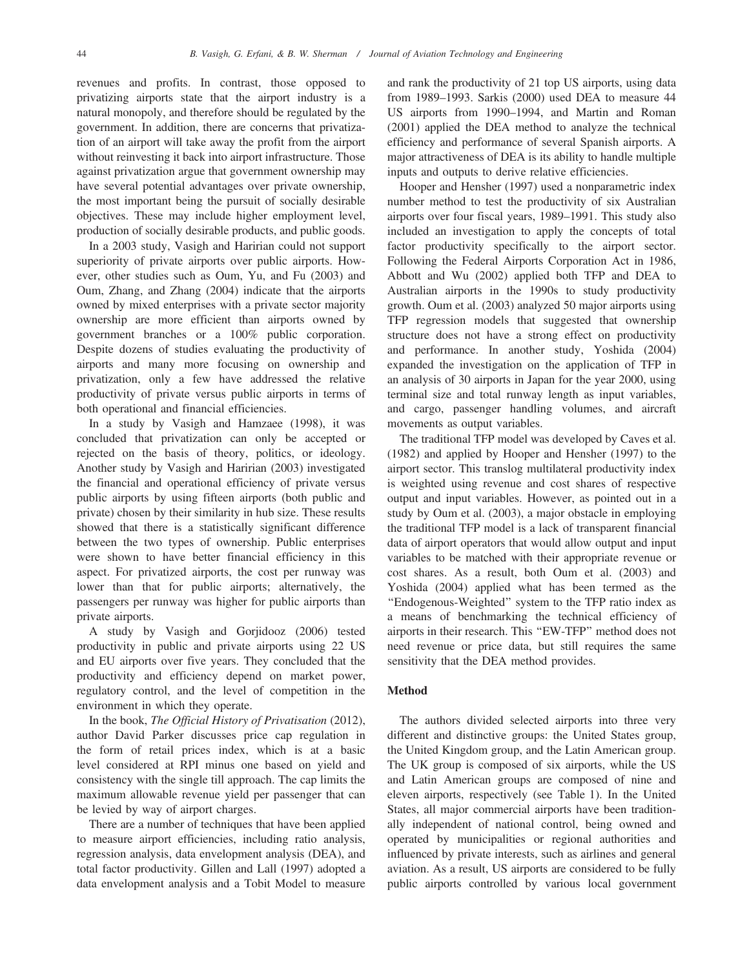revenues and profits. In contrast, those opposed to privatizing airports state that the airport industry is a natural monopoly, and therefore should be regulated by the government. In addition, there are concerns that privatization of an airport will take away the profit from the airport without reinvesting it back into airport infrastructure. Those against privatization argue that government ownership may have several potential advantages over private ownership, the most important being the pursuit of socially desirable objectives. These may include higher employment level, production of socially desirable products, and public goods.

In a 2003 study, Vasigh and Haririan could not support superiority of private airports over public airports. However, other studies such as Oum, Yu, and Fu (2003) and Oum, Zhang, and Zhang (2004) indicate that the airports owned by mixed enterprises with a private sector majority ownership are more efficient than airports owned by government branches or a 100% public corporation. Despite dozens of studies evaluating the productivity of airports and many more focusing on ownership and privatization, only a few have addressed the relative productivity of private versus public airports in terms of both operational and financial efficiencies.

In a study by Vasigh and Hamzaee (1998), it was concluded that privatization can only be accepted or rejected on the basis of theory, politics, or ideology. Another study by Vasigh and Haririan (2003) investigated the financial and operational efficiency of private versus public airports by using fifteen airports (both public and private) chosen by their similarity in hub size. These results showed that there is a statistically significant difference between the two types of ownership. Public enterprises were shown to have better financial efficiency in this aspect. For privatized airports, the cost per runway was lower than that for public airports; alternatively, the passengers per runway was higher for public airports than private airports.

A study by Vasigh and Gorjidooz (2006) tested productivity in public and private airports using 22 US and EU airports over five years. They concluded that the productivity and efficiency depend on market power, regulatory control, and the level of competition in the environment in which they operate.

In the book, The Official History of Privatisation (2012), author David Parker discusses price cap regulation in the form of retail prices index, which is at a basic level considered at RPI minus one based on yield and consistency with the single till approach. The cap limits the maximum allowable revenue yield per passenger that can be levied by way of airport charges.

There are a number of techniques that have been applied to measure airport efficiencies, including ratio analysis, regression analysis, data envelopment analysis (DEA), and total factor productivity. Gillen and Lall (1997) adopted a data envelopment analysis and a Tobit Model to measure and rank the productivity of 21 top US airports, using data from 1989–1993. Sarkis (2000) used DEA to measure 44 US airports from 1990–1994, and Martin and Roman (2001) applied the DEA method to analyze the technical efficiency and performance of several Spanish airports. A major attractiveness of DEA is its ability to handle multiple inputs and outputs to derive relative efficiencies.

Hooper and Hensher (1997) used a nonparametric index number method to test the productivity of six Australian airports over four fiscal years, 1989–1991. This study also included an investigation to apply the concepts of total factor productivity specifically to the airport sector. Following the Federal Airports Corporation Act in 1986, Abbott and Wu (2002) applied both TFP and DEA to Australian airports in the 1990s to study productivity growth. Oum et al. (2003) analyzed 50 major airports using TFP regression models that suggested that ownership structure does not have a strong effect on productivity and performance. In another study, Yoshida (2004) expanded the investigation on the application of TFP in an analysis of 30 airports in Japan for the year 2000, using terminal size and total runway length as input variables, and cargo, passenger handling volumes, and aircraft movements as output variables.

The traditional TFP model was developed by Caves et al. (1982) and applied by Hooper and Hensher (1997) to the airport sector. This translog multilateral productivity index is weighted using revenue and cost shares of respective output and input variables. However, as pointed out in a study by Oum et al. (2003), a major obstacle in employing the traditional TFP model is a lack of transparent financial data of airport operators that would allow output and input variables to be matched with their appropriate revenue or cost shares. As a result, both Oum et al. (2003) and Yoshida (2004) applied what has been termed as the ''Endogenous-Weighted'' system to the TFP ratio index as a means of benchmarking the technical efficiency of airports in their research. This ''EW-TFP'' method does not need revenue or price data, but still requires the same sensitivity that the DEA method provides.

### Method

The authors divided selected airports into three very different and distinctive groups: the United States group, the United Kingdom group, and the Latin American group. The UK group is composed of six airports, while the US and Latin American groups are composed of nine and eleven airports, respectively (see Table 1). In the United States, all major commercial airports have been traditionally independent of national control, being owned and operated by municipalities or regional authorities and influenced by private interests, such as airlines and general aviation. As a result, US airports are considered to be fully public airports controlled by various local government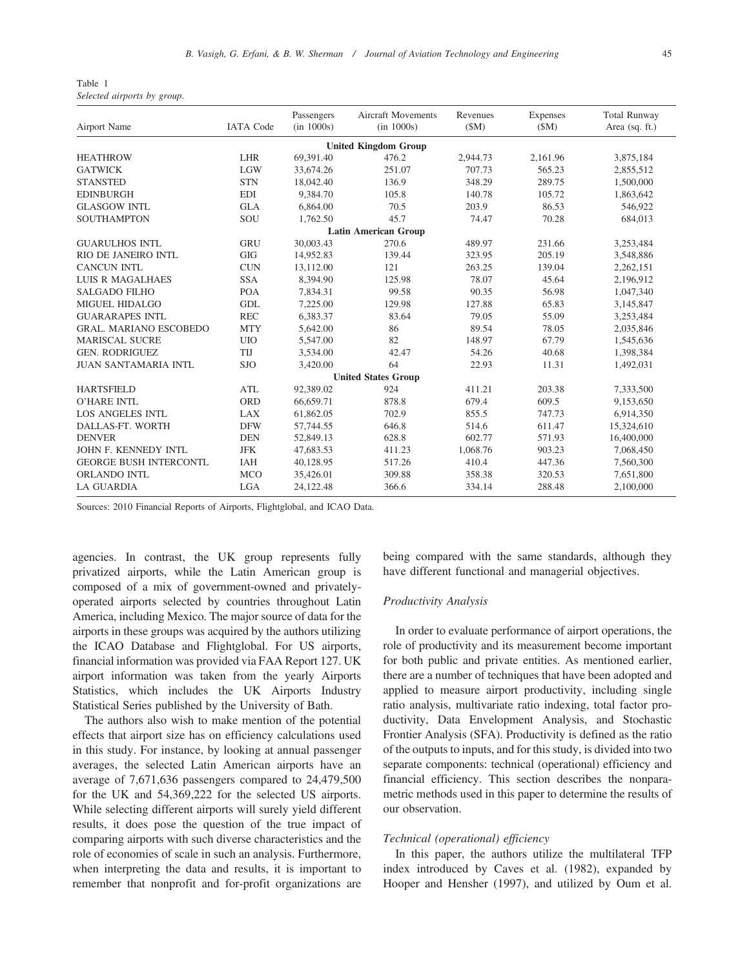| Table 1 |                             |  |
|---------|-----------------------------|--|
|         | Selected airports by group. |  |

| Airport Name                  | <b>IATA</b> Code | Passengers<br>(in 1000s) | <b>Aircraft Movements</b><br>(in 1000s) | Revenues<br>(SM) | Expenses<br>(SM) | <b>Total Runway</b><br>Area (sq. ft.) |  |  |  |
|-------------------------------|------------------|--------------------------|-----------------------------------------|------------------|------------------|---------------------------------------|--|--|--|
| <b>United Kingdom Group</b>   |                  |                          |                                         |                  |                  |                                       |  |  |  |
| <b>HEATHROW</b>               | <b>LHR</b>       | 69,391.40                | 476.2                                   | 2,944.73         | 2,161.96         | 3,875,184                             |  |  |  |
| <b>GATWICK</b>                | <b>LGW</b>       | 33,674.26                | 251.07                                  | 707.73           | 565.23           | 2,855,512                             |  |  |  |
| <b>STANSTED</b>               | <b>STN</b>       | 18,042.40                | 136.9                                   | 348.29           | 289.75           | 1,500,000                             |  |  |  |
| <b>EDINBURGH</b>              | <b>EDI</b>       | 9,384.70                 | 105.8                                   | 140.78           | 105.72           | 1,863,642                             |  |  |  |
| <b>GLASGOW INTL</b>           | <b>GLA</b>       | 6,864.00                 | 70.5                                    | 203.9            | 86.53            | 546,922                               |  |  |  |
| SOUTHAMPTON                   | SOU              | 1,762.50                 | 45.7                                    | 74.47            | 70.28            | 684,013                               |  |  |  |
| <b>Latin American Group</b>   |                  |                          |                                         |                  |                  |                                       |  |  |  |
| <b>GUARULHOS INTL</b>         | <b>GRU</b>       | 30,003.43                | 270.6                                   | 489.97           | 231.66           | 3,253,484                             |  |  |  |
| RIO DE JANEIRO INTL           | <b>GIG</b>       | 14.952.83                | 139.44                                  | 323.95           | 205.19           | 3,548,886                             |  |  |  |
| <b>CANCUN INTL</b>            | <b>CUN</b>       | 13,112.00                | 121                                     | 263.25           | 139.04           | 2,262,151                             |  |  |  |
| <b>LUIS R MAGALHAES</b>       | <b>SSA</b>       | 8,394.90                 | 125.98                                  | 78.07            | 45.64            | 2,196,912                             |  |  |  |
| <b>SALGADO FILHO</b>          | <b>POA</b>       | 7,834.31                 | 99.58                                   | 90.35            | 56.98            | 1,047,340                             |  |  |  |
| <b>MIGUEL HIDALGO</b>         | <b>GDL</b>       | 7,225.00                 | 129.98                                  | 127.88           | 65.83            | 3,145,847                             |  |  |  |
| <b>GUARARAPES INTL</b>        | <b>REC</b>       | 6,383.37                 | 83.64                                   | 79.05            | 55.09            | 3,253,484                             |  |  |  |
| <b>GRAL. MARIANO ESCOBEDO</b> | <b>MTY</b>       | 5,642.00                 | 86                                      | 89.54            | 78.05            | 2,035,846                             |  |  |  |
| <b>MARISCAL SUCRE</b>         | <b>UIO</b>       | 5,547.00                 | 82                                      | 148.97           | 67.79            | 1,545,636                             |  |  |  |
| <b>GEN. RODRIGUEZ</b>         | TIJ              | 3,534.00                 | 42.47                                   | 54.26            | 40.68            | 1,398,384                             |  |  |  |
| <b>JUAN SANTAMARIA INTL</b>   | <b>SJO</b>       | 3,420.00                 | 64                                      | 22.93            | 11.31            | 1,492,031                             |  |  |  |
| <b>United States Group</b>    |                  |                          |                                         |                  |                  |                                       |  |  |  |
| <b>HARTSFIELD</b>             | <b>ATL</b>       | 92,389.02                | 924                                     | 411.21           | 203.38           | 7,333,500                             |  |  |  |
| <b>O'HARE INTL</b>            | <b>ORD</b>       | 66,659.71                | 878.8                                   | 679.4            | 609.5            | 9,153,650                             |  |  |  |
| <b>LOS ANGELES INTL</b>       | <b>LAX</b>       | 61,862.05                | 702.9                                   | 855.5            | 747.73           | 6,914,350                             |  |  |  |
| DALLAS-FT. WORTH              | <b>DFW</b>       | 57,744.55                | 646.8                                   | 514.6            | 611.47           | 15,324,610                            |  |  |  |
| <b>DENVER</b>                 | <b>DEN</b>       | 52,849.13                | 628.8                                   | 602.77           | 571.93           | 16,400,000                            |  |  |  |
| JOHN F. KENNEDY INTL          | <b>JFK</b>       | 47,683.53                | 411.23                                  | 1,068.76         | 903.23           | 7,068,450                             |  |  |  |
| <b>GEORGE BUSH INTERCONTL</b> | IAH              | 40,128.95                | 517.26                                  | 410.4            | 447.36           | 7,560,300                             |  |  |  |
| ORLANDO INTL                  | <b>MCO</b>       | 35,426.01                | 309.88                                  | 358.38           | 320.53           | 7,651,800                             |  |  |  |
| <b>LA GUARDIA</b>             | <b>LGA</b>       | 24,122.48                | 366.6                                   | 334.14           | 288.48           | 2,100,000                             |  |  |  |

Sources: 2010 Financial Reports of Airports, Flightglobal, and ICAO Data.

agencies. In contrast, the UK group represents fully privatized airports, while the Latin American group is composed of a mix of government-owned and privatelyoperated airports selected by countries throughout Latin America, including Mexico. The major source of data for the airports in these groups was acquired by the authors utilizing the ICAO Database and Flightglobal. For US airports, financial information was provided via FAA Report 127. UK airport information was taken from the yearly Airports Statistics, which includes the UK Airports Industry Statistical Series published by the University of Bath.

The authors also wish to make mention of the potential effects that airport size has on efficiency calculations used in this study. For instance, by looking at annual passenger averages, the selected Latin American airports have an average of 7,671,636 passengers compared to 24,479,500 for the UK and 54,369,222 for the selected US airports. While selecting different airports will surely yield different results, it does pose the question of the true impact of comparing airports with such diverse characteristics and the role of economies of scale in such an analysis. Furthermore, when interpreting the data and results, it is important to remember that nonprofit and for-profit organizations are

being compared with the same standards, although they have different functional and managerial objectives.

#### Productivity Analysis

In order to evaluate performance of airport operations, the role of productivity and its measurement become important for both public and private entities. As mentioned earlier, there are a number of techniques that have been adopted and applied to measure airport productivity, including single ratio analysis, multivariate ratio indexing, total factor productivity, Data Envelopment Analysis, and Stochastic Frontier Analysis (SFA). Productivity is defined as the ratio of the outputs to inputs, and for this study, is divided into two separate components: technical (operational) efficiency and financial efficiency. This section describes the nonparametric methods used in this paper to determine the results of our observation.

### Technical (operational) efficiency

In this paper, the authors utilize the multilateral TFP index introduced by Caves et al. (1982), expanded by Hooper and Hensher (1997), and utilized by Oum et al.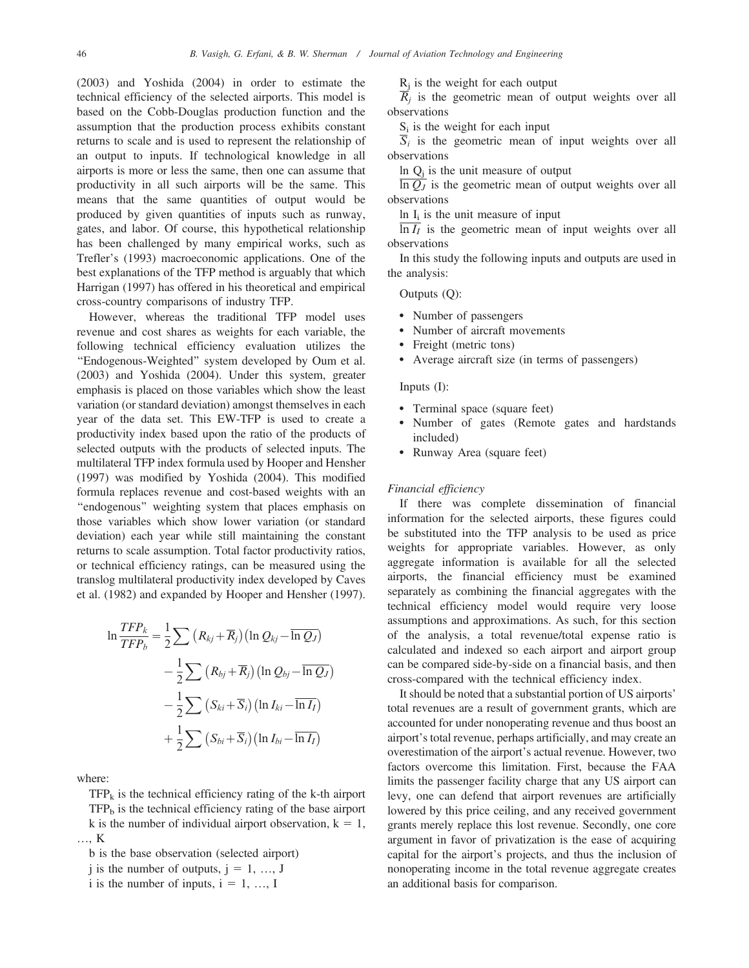(2003) and Yoshida (2004) in order to estimate the technical efficiency of the selected airports. This model is based on the Cobb-Douglas production function and the assumption that the production process exhibits constant returns to scale and is used to represent the relationship of an output to inputs. If technological knowledge in all airports is more or less the same, then one can assume that productivity in all such airports will be the same. This means that the same quantities of output would be produced by given quantities of inputs such as runway, gates, and labor. Of course, this hypothetical relationship has been challenged by many empirical works, such as Trefler's (1993) macroeconomic applications. One of the best explanations of the TFP method is arguably that which Harrigan (1997) has offered in his theoretical and empirical cross-country comparisons of industry TFP.

However, whereas the traditional TFP model uses revenue and cost shares as weights for each variable, the following technical efficiency evaluation utilizes the "Endogenous-Weighted" system developed by Oum et al. (2003) and Yoshida (2004). Under this system, greater emphasis is placed on those variables which show the least variation (or standard deviation) amongst themselves in each year of the data set. This EW-TFP is used to create a productivity index based upon the ratio of the products of selected outputs with the products of selected inputs. The multilateral TFP index formula used by Hooper and Hensher (1997) was modified by Yoshida (2004). This modified formula replaces revenue and cost-based weights with an ''endogenous'' weighting system that places emphasis on those variables which show lower variation (or standard deviation) each year while still maintaining the constant returns to scale assumption. Total factor productivity ratios, or technical efficiency ratings, can be measured using the translog multilateral productivity index developed by Caves et al. (1982) and expanded by Hooper and Hensher (1997).

$$
\ln \frac{TFP_k}{TFP_b} = \frac{1}{2} \sum (R_{kj} + \overline{R}_j) (\ln Q_{kj} - \overline{\ln Q_J})
$$

$$
- \frac{1}{2} \sum (R_{bj} + \overline{R}_j) (\ln Q_{bj} - \overline{\ln Q_J})
$$

$$
- \frac{1}{2} \sum (S_{ki} + \overline{S}_i) (\ln I_{ki} - \overline{\ln I_I})
$$

$$
+ \frac{1}{2} \sum (S_{bi} + \overline{S}_i) (\ln I_{bi} - \overline{\ln I_I})
$$

where:

 $TFP_k$  is the technical efficiency rating of the k-th airport  $TFP<sub>b</sub>$  is the technical efficiency rating of the base airport k is the number of individual airport observation,  $k = 1$ , …, K

b is the base observation (selected airport)

j is the number of outputs,  $j = 1, ..., J$ 

i is the number of inputs,  $i = 1, ..., I$ 

 $R_i$  is the weight for each output

 $\overline{R}_i$  is the geometric mean of output weights over all observations

 $S_i$  is the weight for each input

 $\overline{S}_i$  is the geometric mean of input weights over all observations

In  $Q_i$  is the unit measure of output

 $\overline{\ln Q_J}$  is the geometric mean of output weights over all observations

In  $I_i$  is the unit measure of input

 $\overline{\ln I_I}$  is the geometric mean of input weights over all observations

In this study the following inputs and outputs are used in the analysis:

Outputs (Q):

- Number of passengers
- Number of aircraft movements
- Freight (metric tons)
- Average aircraft size (in terms of passengers)

#### Inputs (I):

- Terminal space (square feet)
- Number of gates (Remote gates and hardstands included)
- Runway Area (square feet)

#### Financial efficiency

If there was complete dissemination of financial information for the selected airports, these figures could be substituted into the TFP analysis to be used as price weights for appropriate variables. However, as only aggregate information is available for all the selected airports, the financial efficiency must be examined separately as combining the financial aggregates with the technical efficiency model would require very loose assumptions and approximations. As such, for this section of the analysis, a total revenue/total expense ratio is calculated and indexed so each airport and airport group can be compared side-by-side on a financial basis, and then cross-compared with the technical efficiency index.

It should be noted that a substantial portion of US airports' total revenues are a result of government grants, which are accounted for under nonoperating revenue and thus boost an airport's total revenue, perhaps artificially, and may create an overestimation of the airport's actual revenue. However, two factors overcome this limitation. First, because the FAA limits the passenger facility charge that any US airport can levy, one can defend that airport revenues are artificially lowered by this price ceiling, and any received government grants merely replace this lost revenue. Secondly, one core argument in favor of privatization is the ease of acquiring capital for the airport's projects, and thus the inclusion of nonoperating income in the total revenue aggregate creates an additional basis for comparison.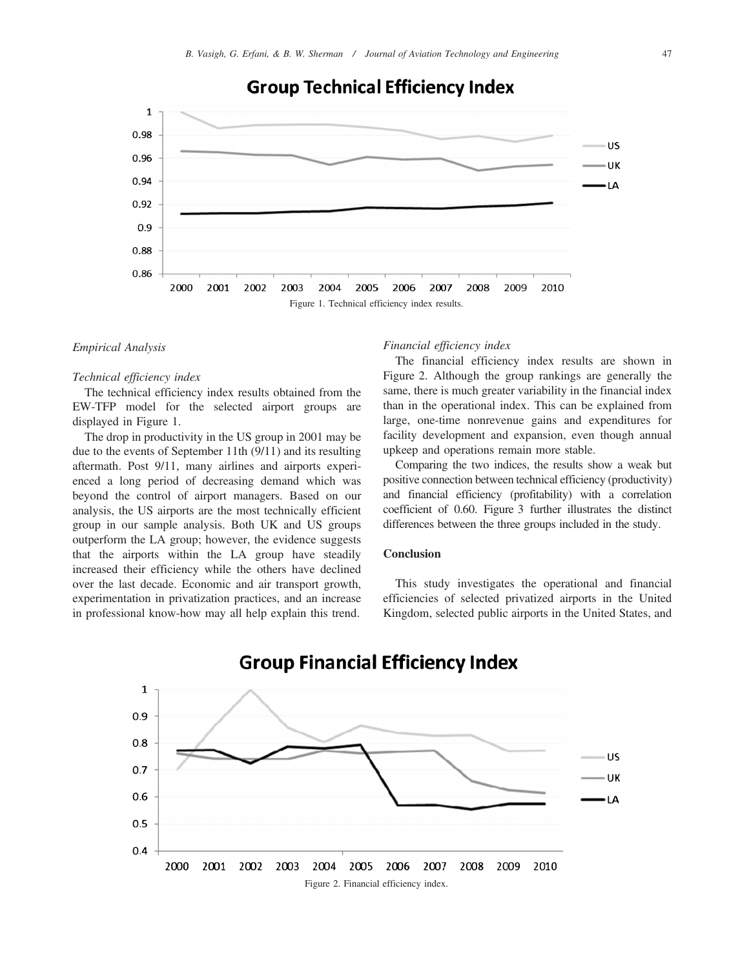

## **Group Technical Efficiency Index**

#### Empirical Analysis

#### Technical efficiency index

The technical efficiency index results obtained from the EW-TFP model for the selected airport groups are displayed in Figure 1.

The drop in productivity in the US group in 2001 may be due to the events of September 11th (9/11) and its resulting aftermath. Post 9/11, many airlines and airports experienced a long period of decreasing demand which was beyond the control of airport managers. Based on our analysis, the US airports are the most technically efficient group in our sample analysis. Both UK and US groups outperform the LA group; however, the evidence suggests that the airports within the LA group have steadily increased their efficiency while the others have declined over the last decade. Economic and air transport growth, experimentation in privatization practices, and an increase in professional know-how may all help explain this trend.

#### Financial efficiency index

The financial efficiency index results are shown in Figure 2. Although the group rankings are generally the same, there is much greater variability in the financial index than in the operational index. This can be explained from large, one-time nonrevenue gains and expenditures for facility development and expansion, even though annual upkeep and operations remain more stable.

Comparing the two indices, the results show a weak but positive connection between technical efficiency (productivity) and financial efficiency (profitability) with a correlation coefficient of 0.60. Figure 3 further illustrates the distinct differences between the three groups included in the study.

#### **Conclusion**

This study investigates the operational and financial efficiencies of selected privatized airports in the United Kingdom, selected public airports in the United States, and

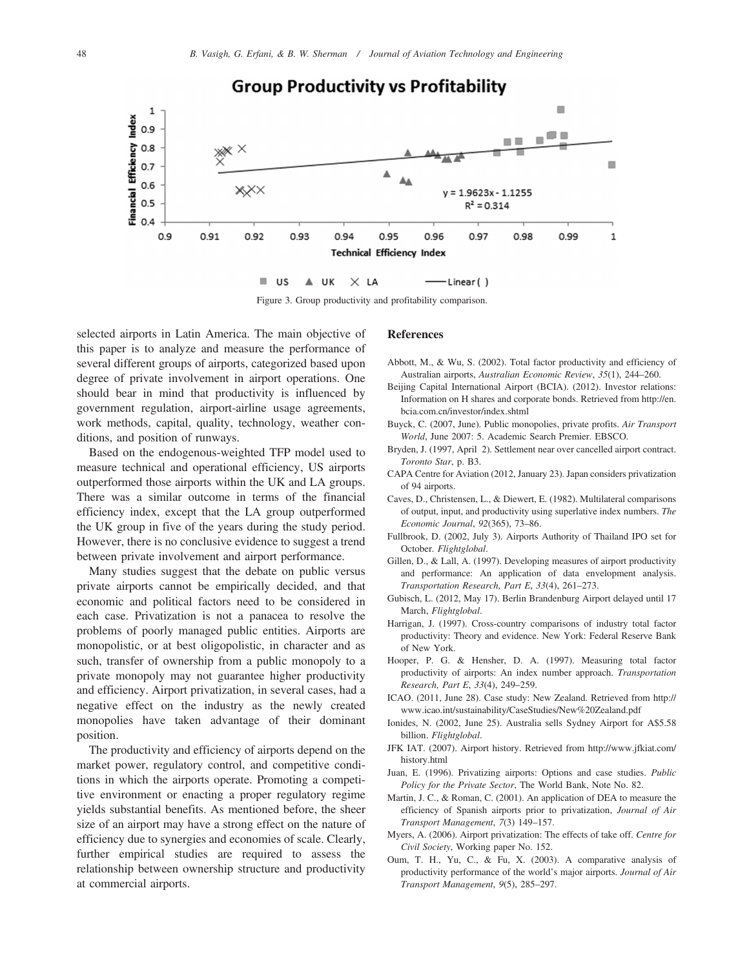

**Group Productivity vs Profitability** 

Figure 3. Group productivity and profitability comparison.

selected airports in Latin America. The main objective of this paper is to analyze and measure the performance of several different groups of airports, categorized based upon degree of private involvement in airport operations. One should bear in mind that productivity is influenced by government regulation, airport-airline usage agreements, work methods, capital, quality, technology, weather conditions, and position of runways.

Based on the endogenous-weighted TFP model used to measure technical and operational efficiency, US airports outperformed those airports within the UK and LA groups. There was a similar outcome in terms of the financial efficiency index, except that the LA group outperformed the UK group in five of the years during the study period. However, there is no conclusive evidence to suggest a trend between private involvement and airport performance.

Many studies suggest that the debate on public versus private airports cannot be empirically decided, and that economic and political factors need to be considered in each case. Privatization is not a panacea to resolve the problems of poorly managed public entities. Airports are monopolistic, or at best oligopolistic, in character and as such, transfer of ownership from a public monopoly to a private monopoly may not guarantee higher productivity and efficiency. Airport privatization, in several cases, had a negative effect on the industry as the newly created monopolies have taken advantage of their dominant position.

The productivity and efficiency of airports depend on the market power, regulatory control, and competitive conditions in which the airports operate. Promoting a competitive environment or enacting a proper regulatory regime yields substantial benefits. As mentioned before, the sheer size of an airport may have a strong effect on the nature of efficiency due to synergies and economies of scale. Clearly, further empirical studies are required to assess the relationship between ownership structure and productivity at commercial airports.

#### References

- Abbott, M., & Wu, S. (2002). Total factor productivity and efficiency of Australian airports, Australian Economic Review, 35(1), 244–260.
- Beijing Capital International Airport (BCIA). (2012). Investor relations: Information on H shares and corporate bonds. Retrieved from [http://en.](http://en.bcia.com.cn/investor/index.shtml) [bcia.com.cn/investor/index.shtml](http://en.bcia.com.cn/investor/index.shtml)
- Buyck, C. (2007, June). Public monopolies, private profits. Air Transport World, June 2007: 5. Academic Search Premier. EBSCO.
- Bryden, J. (1997, April 2). Settlement near over cancelled airport contract. Toronto Star, p. B3.
- CAPA Centre for Aviation (2012, January 23). Japan considers privatization of 94 airports.
- Caves, D., Christensen, L., & Diewert, E. (1982). Multilateral comparisons of output, input, and productivity using superlative index numbers. The Economic Journal, 92(365), 73–86.
- Fullbrook, D. (2002, July 3). Airports Authority of Thailand IPO set for October. Flightglobal.
- Gillen, D., & Lall, A. (1997). Developing measures of airport productivity and performance: An application of data envelopment analysis. Transportation Research, Part E, 33(4), 261–273.
- Gubisch, L. (2012, May 17). Berlin Brandenburg Airport delayed until 17 March, Flightglobal.
- Harrigan, J. (1997). Cross-country comparisons of industry total factor productivity: Theory and evidence. New York: Federal Reserve Bank of New York.
- Hooper, P. G. & Hensher, D. A. (1997). Measuring total factor productivity of airports: An index number approach. Transportation Research, Part E, 33(4), 249–259.
- ICAO. (2011, June 28). Case study: New Zealand. Retrieved from [http://](http://www.icao.int/sustainability/CaseStudies/New%20Zealand.pdf) [www.icao.int/sustainability/CaseStudies/New%20Zealand.pdf](http://www.icao.int/sustainability/CaseStudies/New%20Zealand.pdf)
- Ionides, N. (2002, June 25). Australia sells Sydney Airport for A\$5.58 billion. Flightglobal.
- JFK IAT. (2007). Airport history. Retrieved from [http://www.jfkiat.com/](http://www.jfkiat.com/history.html) [history.html](http://www.jfkiat.com/history.html)
- Juan, E. (1996). Privatizing airports: Options and case studies. Public Policy for the Private Sector, The World Bank, Note No. 82.
- Martin, J. C., & Roman, C. (2001). An application of DEA to measure the efficiency of Spanish airports prior to privatization, Journal of Air Transport Management, 7(3) 149–157.
- Myers, A. (2006). Airport privatization: The effects of take off. Centre for Civil Society, Working paper No. 152.
- Oum, T. H., Yu, C., & Fu, X. (2003). A comparative analysis of productivity performance of the world's major airports. Journal of Air Transport Management, 9(5), 285–297.